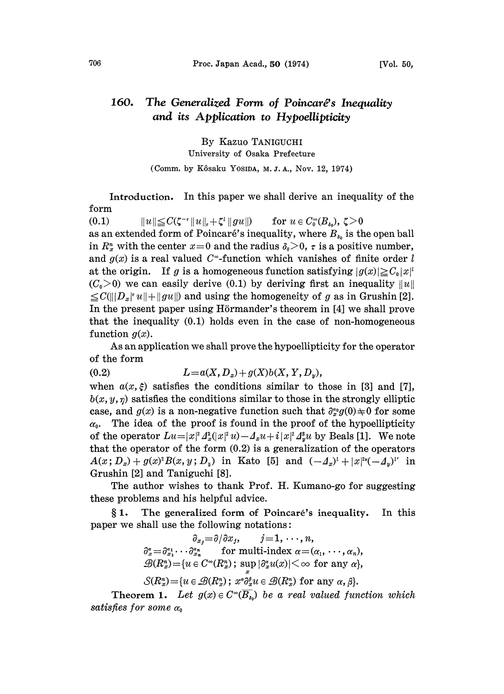## 160. The Generalized Form of Poincaré's Inequality and its Application to Hypoellipticity

By Kazuo TANIGUCHI University of Osaka Prefecture (Comm. by Kôsaku Yosida, M. J. A., Nov. 12, 1974)

Introduction. In this paper we shall derive an inequality of the form

(0.1)  $||u|| \leq C(\zeta^{-1}||u||_{\tau}+\zeta^{\iota}||gu||)$  for  $u \in C_0^{\infty}(B_{\delta_0}), \zeta > 0$ as an extended form of Poincaré's inequality, where  $B_{i_0}$  is the open ball in  $R_x^n$  with the center  $x=0$  and the radius  $\delta_0>0$ ,  $\tau$  is a positive number, and  $g(x)$  is a real valued C<sup>-</sup>-function which vanishes of finite order l at the origin. If g is a homogeneous function satisfying  $|g(x)| \geq C_0|x|^l$  $(C_0>0)$  we can easily derive (0.1) by deriving first an inequality  $||u||$  $\leq C(||D_x| ||u|| + ||gu||)$  and using the homogeneity of g as in Grushin [2]. In the present paper using Hörmander's theorem in [4] we shall prove that the inequality (0.1) holds even in the case of non-homogeneous function  $g(x)$ .

As an application we shall prove the hypoellipticity for the operator of the form

(0.2)  $L = a(X, D_x) + g(X)b(X, Y, D_y),$ 

when  $a(x, \xi)$  satisfies the conditions similar to those in [3] and [7],  $b(x, y, \eta)$  satisfies the conditions similar to those in the strongly elliptic case, and  $g(x)$  is a non-negative function such that  $\partial_x^{\alpha} g(0) \neq 0$  for some  $\alpha_0$ . The idea of the proof is found in the proof of the hypoellipticity of the operator  $Lu=|x|^2\Delta_x^2(|x|^2u)-\Delta_xu+i|x|^2\Delta_x^3u$  by Beals [1]. We note that the operator of the form  $(0.2)$  is a generalization of the operators  $A(x; D_x) + g(x)^2 B(x, y; D_y)$  in Kato [5] and  $(-\Delta_x)^1 + |x|^{2\nu}(-\Delta_y)^{\nu}$  in Grushin [2] and Taniguchi [8].

The author wishes to thank Prof. H. Kumano-go for suggesting these problems and his helpful advice.

1. The generalized form of Poincare's inequality. In this paper we shall use the following notations:

> $\partial_{x_j}=\partial/\partial x_j, \qquad j=1,\,\cdots,n,$  $\partial_x^{\alpha} = \partial_{x_1}^{\alpha_1} \cdots \partial_{x_n}^{\alpha_n}$  for multi-index  $\alpha = (\alpha_1, \dots, \alpha_n)$  $\mathscr{B}(R_x^n) = \{u \in C^{\infty}(R_x^n); \sup_x |\partial_x^{\alpha}u(x)| < \infty \text{ for any } \alpha\},\$  $\mathcal{S}(R_x^n) = \{u \in \mathcal{B}(R_x^n); x^{\alpha} \partial_x^{\beta} u \in \mathcal{B}(R_x^n) \text{ for any } \alpha, \beta\}.$

**Theorem 1.** Let  $g(x) \in C^{\infty}(\overline{B}_{s_0})$  be a real valued function which satisfies for some  $\alpha_0$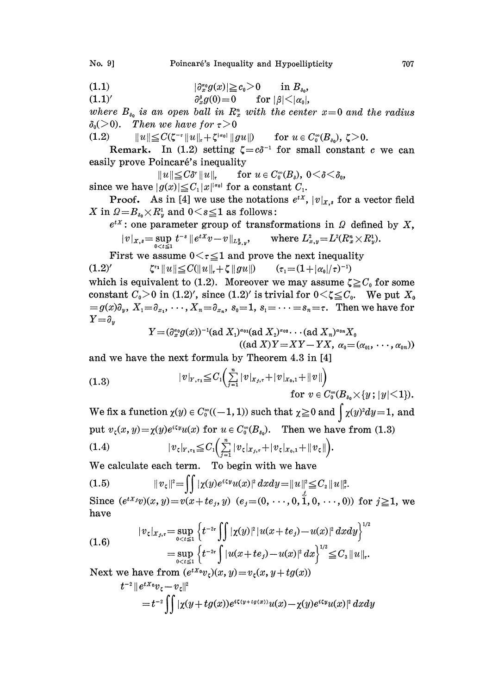No. 9] Poincaré's Inequality and Hypoellipticity 707

$$
(1.1) \t\t\t |\partial_x^{\alpha_0} g(x)| \geq c_0>0 \t\t \text{in } B_{\delta_0},
$$

(1.1)'  $\partial_x^{\beta} g(0) = 0$  for  $|\beta| < |\alpha_0|$ ,

where  $B_{s_0}$  is an open ball in  $R_x^n$  with the center  $x=0$  and the radius  $\delta_0$ (>0). Then we have for  $\tau > 0$ 

(1.2)  $||u|| \leq C(\zeta^{-\tau} ||u||_{\tau} + \zeta^{|\alpha_0|} ||gu||)$  for  $u \in C_0^{\infty}(B_{\delta_0}), \zeta > 0.$ 

Remark. In (1.2) setting  $\zeta = c\delta^{-1}$  for small constant c we can easily prove Poincaré's inequality

 $||u|| \leq C\delta^{\tau} ||u||_{\tau}$  for  $u \in C_0^{\infty}(B_{\delta}), 0 < \delta < \delta_0,$ since we have  $|g(x)| \leq C_1 |x|^{|x_0|}$  for a constant  $C_1$ .

**Proof.** As in [4] we use the notations  $e^{tx}$ ,  $|v|_{x,s}$  for a vector field X in  $\Omega = B_{s_0} \times R_y^1$  and  $0 \leq s \leq 1$  as follows:

 $e^{tX}$ : one parameter group of transformations in  $\Omega$  defined by X,  $\|v\|_{X,s} = \sup_{0 < t \leq 1} t^{-s} \, \| e^{tX}v - v\|_{L^2_{x,y}}, \qquad \text{where} \ L^2_{x,y} = L^2(R_x^n \times R_y^1).$ 

First we assume  $0 < \tau \leq 1$  and prove the next inequality<br>  $\zeta^*$   $\zeta^* \|u\| \leq C(\|u\|_{\tau} + \zeta \|gu\|)$   $(\tau_1 = (1 + |\alpha_0|/\tau)^{-1})$  $(1.2)'$ 

which is equivalent to (1.2). Moreover we may assume  $\zeta \geq C_0$  for some constant  $C_0>0$  in (1.2)', since (1.2)' is trivial for  $0<\zeta\leq C_0$ . We put  $X_0$  $=g(x)\partial_y, X_1=\partial_x, \dots, X_n=\partial_x, s_0=1, s_1=\dots=s_n=\tau.$  Then we have for  $Y=\partial_{\nu}$ 

$$
Y = (\partial_x^{\alpha_0} g(x))^{-1} (\text{ad } X_1)^{\alpha_0} (\text{ad } X_2)^{\alpha_0} \cdots (\text{ad } X_n)^{\alpha_0} X_0
$$
  

$$
((\text{ad } X)Y = XY - YX, \ \alpha_0 = (\alpha_{01}, \ \cdots, \alpha_{0n}))
$$

and we have the next formula by Theorem 4.3 in [4]

(1.3) 
$$
|v|_{Y,\tau_1} \leq C_1 \left( \sum_{j=1}^n |v|_{X_j,\tau} + |v|_{X_0,1} + \|v\| \right)
$$

for 
$$
v \in C_0^{\infty}(B_{s_0} \times \{y \mid |y| \leq 1\}).
$$

We fix a function  $\chi(y) \in C_0^{\infty}((-1, 1))$  such that  $\chi \ge 0$  and  $\chi(y)^2 dy = 1$ , and put  $v_{\zeta}(x, y) = \chi(y)e^{i\zeta y}u(x)$  for  $u \in C_0^{\infty}(B_{s_0})$ . Then we have from (1.3)

(1.4) 
$$
|v_{\zeta}|_{Y,\tau_1} \leq C_1 \Big( \sum_{j=1}^n |v_{\zeta}|_{X_j,\tau} + |v_{\zeta}|_{X_0,1} + ||v_{\zeta}|| \Big).
$$

We calculate each term. To begin with we have

(1.5) 
$$
||v_{\zeta}||^{2} = \iint |\chi(y)e^{i\zeta y} u(x)|^{2} dx dy = ||u||_{\mathcal{L}}^{2} \leq C_{2} ||u||_{\mathcal{L}}^{2}.
$$

Since  $(e^{tX_j}v)(x, y) = v(x + te_j, y)$   $(e_j = (0, \dots, 0, 1, 0, \dots, 0))$  for  $j \ge 1$ , we have

(1.6) 
$$
|v_{\zeta}|_{x_j, \tau} = \sup_{0 < t \le 1} \left\{ t^{-2\tau} \int_{0}^{\tau} | \chi(y) |^{2} | u(x + te_j) - u(x) |^{2} dxdy \right\}^{1/2}
$$

$$
= \sup_{0 < t \le 1} \left\{ t^{-2\tau} \int_{0}^{\tau} | u(x + te_j) - u(x) |^{2} d\xi \right\}^{1/2} \le C_{3} \| u \|_{\tau}.
$$

Next we have from  $(e^{tX_0}v_\epsilon)(x, y)=v_\epsilon(x, y+t g(x))$ 

$$
t^{-2} ||e^{tX_0}v_\zeta - v_\zeta||^2
$$
  
= 
$$
t^{-2} \iint |\chi(y + tg(x))e^{i\zeta(y + tg(x))}u(x) - \chi(y)e^{i\zeta y}u(x)|^2 dx dy
$$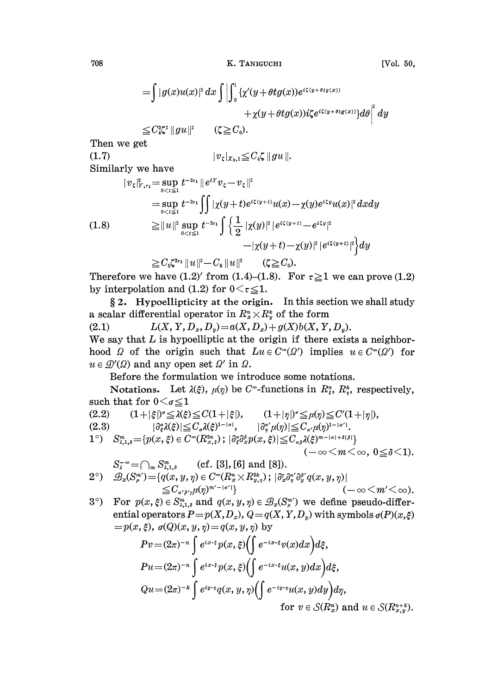$$
= \int |g(x)u(x)|^2 dx \int \left| \int_0^1 {\{\chi'(y + \theta t g(x))e^{i\zeta(y + \theta t g(x))}\}\ d\theta} \right|^2 dy
$$
  
\n
$$
+ \chi(y + \theta t g(x))i\zeta e^{i\zeta(y + \theta t g(x))} d\theta \Big|^2 dy
$$
  
\n
$$
\leq C_4^{2\zeta^2} \|gu\|^2 \qquad (\zeta \geq C_0).
$$
  
\nThen we get  
\n(1.7)  
\nSimilarly we have  
\n
$$
|v_{\zeta}|_{x, \tau_1}^2 = \sup_{0 < \iota \leq 1} t^{-2\tau_1} \|e^{tY}v_{\zeta} - v_{\zeta}\|^2
$$
  
\n
$$
= \sup_{0 < \iota \leq 1} t^{-2\tau_1} \int \left| \chi(y + t)e^{i\zeta(y + t)}u(x) - \chi(y)e^{i\zeta y}u(x) \right|^2 dxdy
$$
  
\n(1.8)  
\n
$$
\geq \|u\|^2 \sup_{0 < \iota \leq 1} t^{-2\tau_1} \int \left\{ \frac{1}{2} |\chi(y)|^2 |e^{i\zeta(y + t)} - e^{i\zeta y}|^2 - |\chi(y + t) - \chi(y)|^2 |e^{i\zeta(y + t)}|^2 \right\} dy
$$
  
\n
$$
\geq C_5 \zeta^{2\tau_1} \|u\|^2 - C_6 \|u\|^2 \qquad (\zeta \geq C_0).
$$

 $\geq C_6 \zeta^{2\tau_1} \|u\|^2 - C_6 \|u\|^2$   $(\zeta \geq C_0)$ .<br>Therefore we have (1.2)' from (1.4)-(1.8). For  $\tau \geq 1$  we can prove (1.2) by interpolation and (1.2) for  $0 \lt \tau \leq 1$ .

 $\S 2$ . Hypoellipticity at the origin. In this section we shall study a scalar differential operator in  $R_x^n \times R_y^k$  of the form<br>(2.1)  $L(X, Y, D_x, D_y) = a(X, D_x) + g(X)b(X, Y)$ 

 $L(X, Y, D_x, D_y) = a(X, D_x) + g(X)b(X, Y, D_y).$ We say that  $L$  is hypoelliptic at the origin if there exists a neighborhood  $\Omega$  of the origin such that  $Lu \in C^{\infty}(\Omega')$  implies  $u \in C^{\infty}(\Omega')$  for  $u \in \mathcal{D}'(\Omega)$  and any open set  $\Omega'$  in  $\Omega$ .

Before the formulation we introduce some notations.

Notations. Let  $\lambda(\xi)$ ,  $\mu(\eta)$  be C<sup>\*</sup>-functions in  $R_i^n$ ,  $R_i^k$ , respectively, such that for  $0 \leq \sigma \leq 1$ 

(2.2)  $(1+|\xi|)^{\sigma} \leq \lambda(\xi) \leq C(1+|\xi|), \qquad (1+|\eta|)^{\sigma} \leq \mu(\eta) \leq C'(1+|\eta|),$ <br>  $|\partial_{\mu}^{\alpha}\lambda(\xi)| \leq C_{\sigma}\lambda(\xi)^{1-|\alpha|}, \qquad |\partial_{\mu}^{\alpha'}\mu(\eta)| \leq C_{\sigma'}\mu(\eta)^{1-|\alpha'|}.$  $|\partial_{\xi}^{\alpha}\lambda(\xi)| \leq C_{\alpha}\lambda(\xi)^{1-|\alpha|}, \qquad |\partial_{\eta}^{\alpha'}\mu(\eta)| \leq C_{\alpha'}\mu(\eta)^{1-|\alpha'|}.$  $1^{\circ}) \quad S^{m}_{\lambda,1,s} = \{p(x,\xi) \in C^{\infty}(R^{2n}_{x,\xi}) \ ; \ |\partial_{\xi}^{s}\partial_{x}^{s}p(x,\xi)| \leq C_{\alpha\beta}\lambda(\xi)^{m-|{\alpha}|+\delta|\beta|} \}$  $(-\infty \leq m \leq \infty, 0 \leq \delta \leq 1).$ 

$$
S_{\lambda}^{-\infty} = \bigcap_{m} S_{\lambda,1,\delta}^{m} \quad \text{(cf. [3], [6] and [8]).}
$$
  
\n
$$
2^{\circ}) \quad \mathscr{B}_{x}(S_{\mu}^{m'}) = \{q(x,y,\eta) \in C^{\infty}(R_{x}^{n} \times R_{y,\eta}^{2k}); |\partial_{x}^{r} \partial_{\eta}^{a'} \partial_{y}^{b'} q(x,y,\eta)| \leq C_{\alpha'\beta'\gamma}\mu(\eta)^{m'-|\alpha'|}\} \quad (-\infty < m' < \infty).
$$

3°) For  $p(x, \xi) \in S_{\lambda,1,\delta}^m$  and  $q(x, y, \eta) \in \mathcal{B}_x(S_\mu^m)$  we define pseudo-differential operators  $P=p(X,D_x), Q=q(X,Y,D_y)$  with symbols  $q(P)(x,\xi)$  $=p(x, \xi), \sigma(Q)(x, y, \eta)=q(x, y, \eta)$  by

$$
Pv = (2\pi)^{-n} \int e^{ix \cdot \xi} p(x, \xi) \left( \int e^{-ix \cdot \xi} v(x) dx \right) d\xi,
$$
  
\n
$$
Pu = (2\pi)^{-n} \int e^{ix \cdot \xi} p(x, \xi) \left( \int e^{-ix \cdot \xi} u(x, y) dx \right) d\xi,
$$
  
\n
$$
Qu = (2\pi)^{-k} \int e^{iy \cdot \eta} q(x, y, \eta) \left( \int e^{-iy \cdot \eta} u(x, y) dy \right) d\eta,
$$
  
\nfor  $v \in S(R_x^n)$  and  $u \in S(R_{x,y}^{n+k})$ .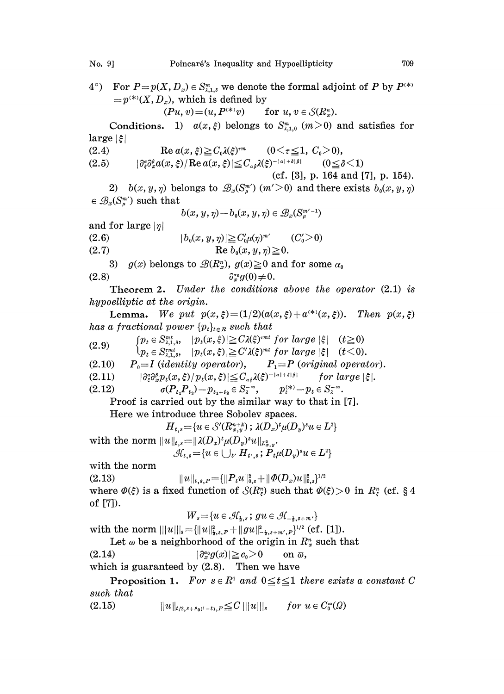4°) For  $P=p(X, D_x) \in S_{\lambda,1,\delta}^m$  we denote the formal adjoint of P by  $P^{(*)}$  $=p^{(*)}(X, D_x)$ , which is defined by

 $(Pu, v) = (u, P^{(*)}v)$  for  $u, v \in \mathcal{S}(R_x^n)$ .

Conditions. 1)  $a(x,\xi)$  belongs to  $S_{\lambda,1,0}^m$  ( $m>0$ ) and satisfies for  $\lvert \text{large} \rvert \xi \rvert$ 

(2.4) (2.5)  $\operatorname{Re} a(x,\xi) \geq C_0 \lambda(\xi)^{rm}$   $(0 \leq \tau \leq 1, C_0 > 0),$  $|\partial_{\alpha}^{\alpha}\partial_{\alpha}^{\beta}a(x,\xi)/\operatorname{Re} a(x,\xi)| \leq C_{\alpha\beta}\lambda(\xi)^{-|\alpha|+\delta|\beta|}$  (0  $\leq \delta < 1$ )

(cf. [3], p. 164 and [7], p. 154).

2)  $b(x, y, \eta)$  belongs to  $\mathscr{B}_x(S^m_\mu)$   $(m' \geq 0)$  and there exists  $b_0(x, y, \eta)$  $\in \mathcal{B}_x(S^m)$  such that

$$
b(x,y,\eta)-b_{\scriptscriptstyle 0}(x,y,\eta)\in\mathscr{B}_x(S^{\scriptscriptstyle m^{\prime}-1}_{\mu})
$$

and for large  $|\eta|$ 

(2.6) (2.7)  $|b_0(x, y, \eta)| \geq C_0'\mu(\eta)^{m'}$   $(C_0' > 0)$ Re  $b_0(x, y, \eta) \geq 0$ .

3)  $g(x)$  belongs to  $\mathcal{B}(R_x^n)$ ,  $g(x) \ge 0$  and for some  $\alpha_0$ (2.8)  $\partial_x^{\alpha_0} g(0) \neq 0.$ 

Theorem 2. Under the conditions above the operator (2.1) is hypoelliptic at the origin.

**Lemma.** We put  $p(x,\xi)=(1/2)(a(x,\xi)+a^{(*)}(x,\xi))$ . Then  $p(x,\xi)$ has a fractional power  $\{p_t\}_{t \in R}$  such that

- $[p_t \in S_{\lambda,1,\delta}^{mt}, \quad |p_t(x,\xi)| \geq C \lambda(\xi)^{mt}$  for large  $|\xi| \quad (t \geq 0)$ (2.9)  $\{p_t \in S_{\lambda,1,\delta}^{r,m}, \quad |p_t(x,\xi)| \geq C' \lambda(\xi)^{r,m} \text{ for large } |\xi| \quad (t \leq 0)$ <br> $\{p_t \in S_{\lambda,1,\delta}^{r,m}, \quad |p_t(x,\xi)| \geq C' \lambda(\xi)^{mt} \text{ for large } |\xi| \quad (t < 0).$
- (2.10)  $P_0=I$  (identity operator),  $P_1=P$  (original operator).<br>(2.11)  $|\partial_x^{\alpha}\partial_x^{\beta}p_t(x,\xi)|p_t(x,\xi)|\leq C_{\alpha\alpha} \lambda(\xi)^{-|\alpha|+\delta|\beta|}$  for large  $|\xi|$ .
- $(2.11)$   $|\partial_{\varepsilon}^{\alpha}\partial_{x}^{\beta}p_{t}(x,\xi)/p_{t}(x,\xi)| \leq C_{\alpha\beta}\lambda(\xi)^{-|\alpha|+\delta|\beta|}$
- (2.12)  $\sigma(P_{t_1}P_{t_2})-p_{t_1+t_2} \in S_{\lambda}^{-\infty}, \qquad p_i^{(*)}-p_i \in S_{\lambda}^{-\infty}.$

Proof is carried out by the similar way to that in [7].

Here we introduce three Sobolev spaces.<br>  $H_{t,s} = \{u \in \mathcal{S}'(R^{n+k}_{x,y}) \, ; \, \lambda(D_x)^t \mu(D_y)^s u \in L^2 \}$ 

$$
H_{t,s} = \{u \in \mathcal{S}'(R^{n+k}_{x,y}); \lambda(D_x)^t \mu(D_y)^s u \in L^2\}
$$

with the norm  $||u||_{t,s} = ||\lambda(D_x)^t \mu(D_y)^s u||_{L^2_{x,v}}$ .  $\mathcal{H}_{t,s} = \{u \in \bigcup_{t'} H_{t',s}$ ;  $P_t \mu(D_u)^s u \in L^2\}$ 

with the norm

(2.13)  $||u||_{t,s,p} = {||P_t u||_{0,s}^3 + ||\Phi(D_x)u||_{0,s}^2}^{1/2}$ where  $\Phi(\xi)$  is a fixed function of  $\mathcal{S}(R_\xi^n)$  such that  $\Phi(\xi)>0$  in  $R_\xi^n$  (cf. § 4 of [7]).  $W_s {=} \{u \in {\mathcal H}_\texttt{h,s}\,;\,gu \in {\mathcal H}_{-\frac{1}{2},s+1}\}$ 

$$
W_s = \{u \in \mathcal{A}_{\frac{1}{2},s}; \, gu \in \mathcal{A}_{-\frac{1}{2},s+m'}\}
$$

with the norm  $|||u|||_s = {||u||_{1,s,P}^2 + ||gu||_{-1,s+m',P}^2}^{1/2}$  (cf. [1]).

Let  $\omega$  be a neighborhood of the origin in  $R_x^n$  such that<br>(2.14)  $|\partial_x^{\alpha} g(x)| \ge c_0 > 0$  on  $\overline{\omega}$ ,

 $|\partial_x^{\alpha_0} g(x)| \geq c_0 > 0$ 

which is guaranteed by  $(2.8)$ . Then we have

**Proposition 1.** For  $s \in R^1$  and  $0 \le t \le 1$  there exists a constant C such that

(2.15)  $||u||_{t/2,s+\rho_0(1-t),P} \leq C |||u|||_s$  for  $u \in C_0^{\infty}(\Omega)$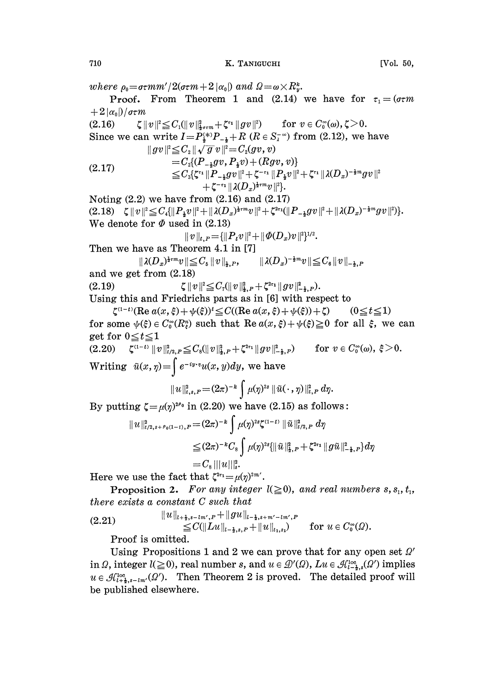where  $\rho_0 = \sigma \tau m m'/2(\sigma \tau m + 2 |\alpha_0|)$  and  $\Omega = \omega \times R_v^k$ . **Proof.** From Theorem 1 and (2.14) we have for  $\tau_1 = (\sigma \tau m)$  $+ 2 \alpha_0$  /  $\sigma \tau m$ (2.16)  $\zeta \|v\|^2 \leq C_1(\|v\|^2_{\frac{1}{2}\sigma \varepsilon m} + \zeta^{\varepsilon_1} \|gv\|^2)$  for  $v \in C_0^{\infty}(\omega), \zeta > 0$ . Since we can write  $I=P_{\frac{1}{2}}^{(*)}P_{-\frac{1}{2}}+R$  ( $R \in S_{\frac{1}{2}}^{(*)}$ ) from (2.12), we have  $||gy||^2 \leq C_2 ||\sqrt{g} v||^2 = C_2(gv, v)$  $||gv||^2 \leq C_2 ||\sqrt{g} \, v||^2 = C_2(gv,v) \ = C_2((P_{-1}gv,P_{1}v) + (Rgv, Qv)) \ = C_2((\sum_{i=1}^{\infty}P_{-i} \, v_i - \sum_{j=1}^{\infty}P_{-j} \, v_j - \sum_{i=1}^{\infty}P_{-i} \, v_i - \sum_{j=1}^{\infty}P_{-j} \, v_j - \sum_{j=1}^{\infty}P_{-j} \, v_j - \sum_{j=1}^{\infty}P_{-j} \, v_j - \sum_{j=1}^{\infty}P_{-j} \, v_j - \sum_{$  $+\zeta^{-\tau_1}\|\lambda(D_x)^{\frac{1}{2}\tau m}v\|^2$ . Noting  $(2.2)$  we have from  $(2.16)$  and  $(2.17)$  $(2.18) \quad \zeta \|v\|^2 \leq C_4 \{||P_xv||^2+||\lambda(D_x)^{\frac{1}{2} \epsilon m}v||^2+\zeta^{2\epsilon_1} (||P_{-x}gv||^2+||\lambda(D_x)^{-\frac{1}{2} m}gv||^2)\}.$ We denote for  $\Phi$  used in (2.13)  $||v||_{t,P} = \{||P_t v||^2 + ||\Phi(D_x)v||^2\}^{1/2}.$ Then we have as Theorem 4.1 in [7]  $||\lambda(D_x)^{\frac{1}{2} \tau m} v|| \leq C_5 ||v||_{\frac{1}{2},P},$  $\|\lambda(D_{x})^{-\frac{1}{2}m}v\|\!\leq\! C_{e}\|v\|_{_{-1}-p}$ and we get from (2.18) (2.19)  $\zeta \|v\|^2 \leq C_7 (\|v\|^2_{\mathbf{\hat{z}},P} + \zeta^{2\epsilon_1} \|gv\|^2_{-\mathbf{\hat{z}},P}).$ Using this and Friedrichs parts as in [6] with respect to  $\zeta^{(1-t)}$ (Re $a(x,\xi)+\psi(\xi)$ )<sup>t</sup> $\leq C$ ((Re $a(x,\xi)+\psi(\xi)$ )+ $\zeta$  (0 $\leq t \leq 1$ ) for some  $\psi(\xi) \in C_0^{\infty}(R_i^n)$  such that  $\text{Re } a(x, \xi) + \psi(\xi) \geq 0$  for all  $\xi$ , we can get for  $0 \le t \le 1$  $(2.20)$   $\zeta^{(1-t)} \|v\|_{t/2,P}^2 \leq C_8 \|v\|_{t,P}^2 + \zeta^{2\tau_1} \|gv\|_{-t,P}^2$  for  $v \in C_0^{\infty}(\omega), \xi >0.$ Writing  $\tilde{u}(x, \eta) = \int e^{-iy \cdot \eta} u(x, y) dy$ , we have  $||u||_{t,s,P}^{2} = (2\pi)^{-k} \int \mu(\eta)^{2s} ||\tilde{u}(\cdot, \eta)||_{t,P}^{2} d\eta.$ <br>By putting  $\zeta = \mu(\eta)^{2\ell_0}$  in (2.20) we have (2.15) as follows:  $||u||_{t/2,s+\rho_0(1-t),P}^2 = (2\pi)^{-k} \int \mu(\eta)^{2s} \zeta^{(1-t)} ||\tilde{u}||_{t/2,P}^2 d\eta$  $\leq (2\pi)^{-k} C_{8}\int \mu(\eta)^{2s} \{ \|\tilde{u}\|_{\frac{1}{2},F}^{2} + \zeta^{2\epsilon_{1}}\|g\tilde{u}\|_{-\frac{1}{2},F}^{2}\}d\eta$  $=C_{\rm s}|||u||_{\rm s}^2$ . Here we use the fact that  $\zeta^{2\tau_1}=\mu(\eta)^{2m'}$ . **Proposition 2.** For any integer  $l(\geq 0)$ , and real numbers s, s<sub>1</sub>, t<sub>1</sub>, there exists a constant C such that (2.21)  $||u||_{l+\frac{1}{2},s-lm',P} + ||gu||_{l-\frac{1}{2},s+m'-l,m',P}$  $\leq C(||Lu||_{l-1,s,P} + ||u||_{t,s})$  for  $u \in C_0^{\infty}(\Omega)$ .

Proof is omitted.

Using Propositions 1 and 2 we can prove that for any open set  $\Omega'$ in  $\Omega$ , integer  $l(\geq 0)$ , real number s, and  $u \in \mathcal{D}'(\Omega)$ ,  $Lu \in \mathcal{A}_{l-1,s}^{loc}(\Omega')$  implies  $u \in \mathcal{A}_{l+k,s-lm'}^{loc}(\Omega')$ . Then Theorem 2 is proved. The detailed proof will be published elsewhere.